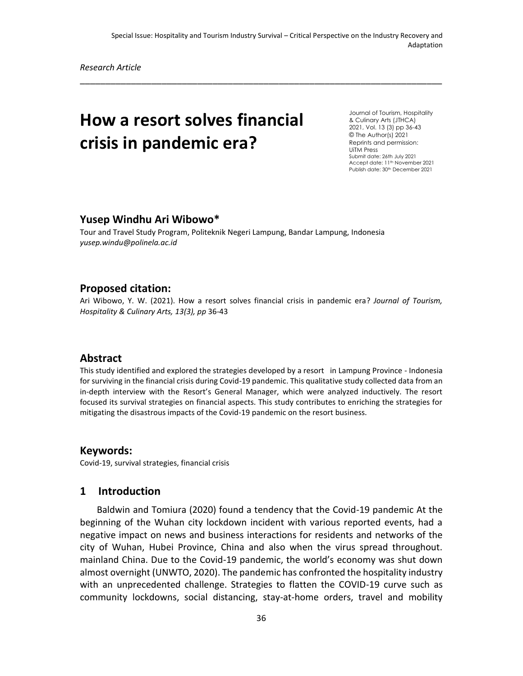\_\_\_\_\_\_\_\_\_\_\_\_\_\_\_\_\_\_\_\_\_\_\_\_\_\_\_\_\_\_\_\_\_\_\_\_\_\_\_\_\_\_\_\_\_\_\_\_\_\_\_\_\_\_\_\_\_\_\_\_\_\_\_\_\_\_\_\_\_\_\_

*Research Article*

# **How a resort solves financial crisis in pandemic era?**

Journal of Tourism, Hospitality & Culinary Arts (JTHCA) 2021, Vol. 13 (3) pp 36-43 © The Author(s) 2021 Reprints and permission: UiTM Press Submit date: 26th July 2021 Accept date: 11<sup>th</sup> November 2021 Publish date: 30th December 2021

#### **Yusep Windhu Ari Wibowo\***

Tour and Travel Study Program, Politeknik Negeri Lampung, Bandar Lampung, Indonesia *yusep.windu@polinela.ac.id* 

### **Proposed citation:**

Ari Wibowo, Y. W. (2021). How a resort solves financial crisis in pandemic era? *Journal of Tourism, Hospitality & Culinary Arts, 13(3), pp* 36-43

### **Abstract**

This study identified and explored the strategies developed by a resort in Lampung Province - Indonesia for surviving in the financial crisis during Covid-19 pandemic. This qualitative study collected data from an in-depth interview with the Resort's General Manager, which were analyzed inductively. The resort focused its survival strategies on financial aspects. This study contributes to enriching the strategies for mitigating the disastrous impacts of the Covid-19 pandemic on the resort business.

#### **Keywords:**

Covid-19, survival strategies, financial crisis

### **1 Introduction**

Baldwin and Tomiura (2020) found a tendency that the Covid-19 pandemic At the beginning of the Wuhan city lockdown incident with various reported events, had a negative impact on news and business interactions for residents and networks of the city of Wuhan, Hubei Province, China and also when the virus spread throughout. mainland China. Due to the Covid-19 pandemic, the world's economy was shut down almost overnight (UNWTO, 2020). The pandemic has confronted the hospitality industry with an unprecedented challenge. Strategies to flatten the COVID-19 curve such as community lockdowns, social distancing, stay-at-home orders, travel and mobility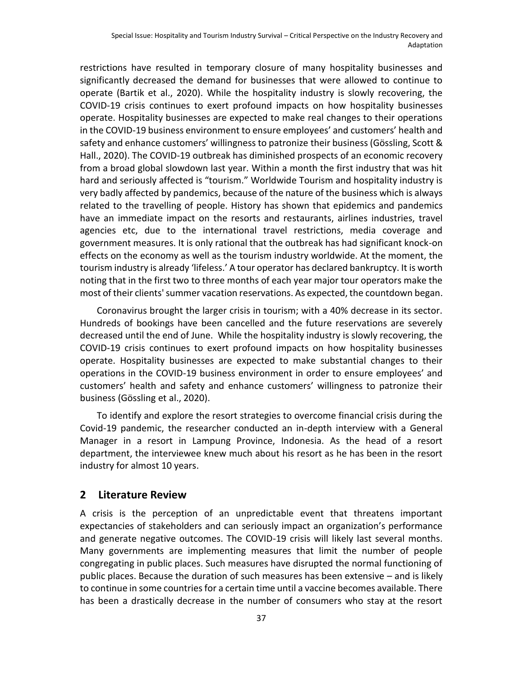restrictions have resulted in temporary closure of many hospitality businesses and significantly decreased the demand for businesses that were allowed to continue to operate (Bartik et al., 2020). While the hospitality industry is slowly recovering, the COVID-19 crisis continues to exert profound impacts on how hospitality businesses operate. Hospitality businesses are expected to make real changes to their operations in the COVID-19 business environment to ensure employees' and customers' health and safety and enhance customers' willingness to patronize their business (Gössling, Scott & Hall., 2020). The COVID-19 outbreak has diminished prospects of an economic recovery from a broad global slowdown last year. Within a month the first industry that was hit hard and seriously affected is "tourism." Worldwide Tourism and hospitality industry is very badly affected by pandemics, because of the nature of the business which is always related to the travelling of people. History has shown that epidemics and pandemics have an immediate impact on the resorts and restaurants, airlines industries, travel agencies etc, due to the international travel restrictions, media coverage and government measures. It is only rational that the outbreak has had significant knock-on effects on the economy as well as the tourism industry worldwide. At the moment, the tourism industry is already 'lifeless.' A tour operator has declared bankruptcy. It is worth noting that in the first two to three months of each year major tour operators make the most of their clients' summer vacation reservations. As expected, the countdown began.

Coronavirus brought the larger crisis in tourism; with a 40% decrease in its sector. Hundreds of bookings have been cancelled and the future reservations are severely decreased until the end of June. While the hospitality industry is slowly recovering, the COVID-19 crisis continues to exert profound impacts on how hospitality businesses operate. Hospitality businesses are expected to make substantial changes to their operations in the COVID-19 business environment in order to ensure employees' and customers' health and safety and enhance customers' willingness to patronize their business (Gössling et al., 2020).

To identify and explore the resort strategies to overcome financial crisis during the Covid-19 pandemic, the researcher conducted an in-depth interview with a General Manager in a resort in Lampung Province, Indonesia. As the head of a resort department, the interviewee knew much about his resort as he has been in the resort industry for almost 10 years.

### **2 Literature Review**

A crisis is the perception of an unpredictable event that threatens important expectancies of stakeholders and can seriously impact an organization's performance and generate negative outcomes. The COVID-19 crisis will likely last several months. Many governments are implementing measures that limit the number of people congregating in public places. Such measures have disrupted the normal functioning of public places. Because the duration of such measures has been extensive – and is likely to continue in some countries for a certain time until a vaccine becomes available. There has been a drastically decrease in the number of consumers who stay at the resort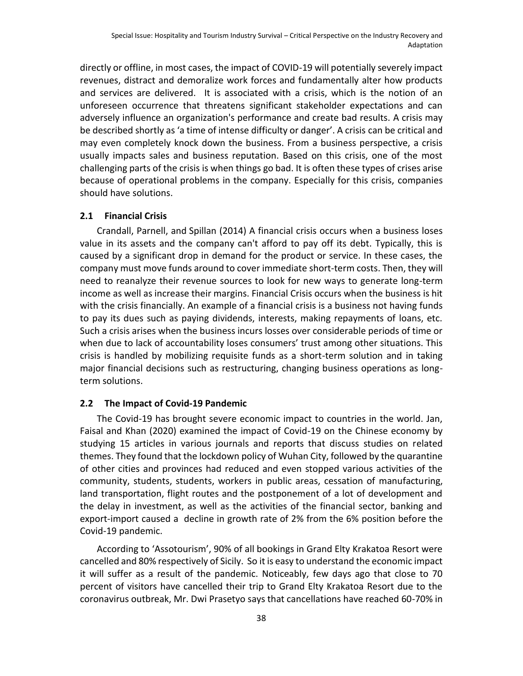directly or offline, in most cases, the impact of COVID-19 will potentially severely impact revenues, distract and demoralize work forces and fundamentally alter how products and services are delivered. It is associated with a crisis, which is the notion of an unforeseen occurrence that threatens significant stakeholder expectations and can adversely influence an organization's performance and create bad results. A crisis may be described shortly as 'a time of intense difficulty or danger'. A crisis can be critical and may even completely knock down the business. From a business perspective, a crisis usually impacts sales and business reputation. Based on this crisis, one of the most challenging parts of the crisis is when things go bad. It is often these types of crises arise because of operational problems in the company. Especially for this crisis, companies should have solutions.

### **2.1 Financial Crisis**

Crandall, Parnell, and Spillan (2014) A financial crisis occurs when a business loses value in its assets and the company can't afford to pay off its debt. Typically, this is caused by a significant drop in demand for the product or service. In these cases, the company must move funds around to cover immediate short-term costs. Then, they will need to reanalyze their revenue sources to look for new ways to generate long-term income as well as increase their margins. Financial Crisis occurs when the business is hit with the crisis financially. An example of a financial crisis is a business not having funds to pay its dues such as paying dividends, interests, making repayments of loans, etc. Such a crisis arises when the business incurs losses over considerable periods of time or when due to lack of accountability loses consumers' trust among other situations. This crisis is handled by mobilizing requisite funds as a short-term solution and in taking major financial decisions such as restructuring, changing business operations as longterm solutions.

### **2.2 The Impact of Covid-19 Pandemic**

The Covid-19 has brought severe economic impact to countries in the world. Jan, Faisal and Khan (2020) examined the impact of Covid-19 on the Chinese economy by studying 15 articles in various journals and reports that discuss studies on related themes. They found that the lockdown policy of Wuhan City, followed by the quarantine of other cities and provinces had reduced and even stopped various activities of the community, students, students, workers in public areas, cessation of manufacturing, land transportation, flight routes and the postponement of a lot of development and the delay in investment, as well as the activities of the financial sector, banking and export-import caused a decline in growth rate of 2% from the 6% position before the Covid-19 pandemic.

According to 'Assotourism', 90% of all bookings in Grand Elty Krakatoa Resort were cancelled and 80% respectively of Sicily. So it is easy to understand the economic impact it will suffer as a result of the pandemic. Noticeably, few days ago that close to 70 percent of visitors have cancelled their trip to Grand Elty Krakatoa Resort due to the coronavirus outbreak, Mr. Dwi Prasetyo says that cancellations have reached 60-70% in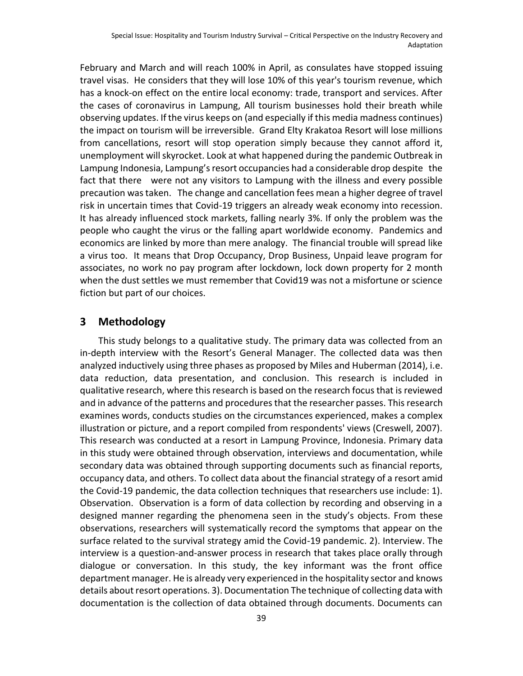February and March and will reach 100% in April, as consulates have stopped issuing travel visas. He considers that they will lose 10% of this year's tourism revenue, which has a knock-on effect on the entire local economy: trade, transport and services. After the cases of coronavirus in Lampung, All tourism businesses hold their breath while observing updates. If the virus keeps on (and especially if this media madness continues) the impact on tourism will be irreversible. Grand Elty Krakatoa Resort will lose millions from cancellations, resort will stop operation simply because they cannot afford it, unemployment will skyrocket. Look at what happened during the pandemic Outbreak in Lampung Indonesia, Lampung's resort occupancies had a considerable drop despite the fact that there were not any visitors to Lampung with the illness and every possible precaution was taken. The change and cancellation fees mean a higher degree of travel risk in uncertain times that Covid-19 triggers an already weak economy into recession. It has already influenced stock markets, falling nearly 3%. If only the problem was the people who caught the virus or the falling apart worldwide economy. Pandemics and economics are linked by more than mere analogy. The financial trouble will spread like a virus too. It means that Drop Occupancy, Drop Business, Unpaid leave program for associates, no work no pay program after lockdown, lock down property for 2 month when the dust settles we must remember that Covid19 was not a misfortune or science fiction but part of our choices.

## **3 Methodology**

This study belongs to a qualitative study. The primary data was collected from an in-depth interview with the Resort's General Manager. The collected data was then analyzed inductively using three phases as proposed by Miles and Huberman (2014), i.e. data reduction, data presentation, and conclusion. This research is included in qualitative research, where this research is based on the research focus that is reviewed and in advance of the patterns and procedures that the researcher passes. This research examines words, conducts studies on the circumstances experienced, makes a complex illustration or picture, and a report compiled from respondents' views (Creswell, 2007). This research was conducted at a resort in Lampung Province, Indonesia. Primary data in this study were obtained through observation, interviews and documentation, while secondary data was obtained through supporting documents such as financial reports, occupancy data, and others. To collect data about the financial strategy of a resort amid the Covid-19 pandemic, the data collection techniques that researchers use include: 1). Observation. Observation is a form of data collection by recording and observing in a designed manner regarding the phenomena seen in the study's objects. From these observations, researchers will systematically record the symptoms that appear on the surface related to the survival strategy amid the Covid-19 pandemic. 2). Interview. The interview is a question-and-answer process in research that takes place orally through dialogue or conversation. In this study, the key informant was the front office department manager. He is already very experienced in the hospitality sector and knows details about resort operations. 3). Documentation The technique of collecting data with documentation is the collection of data obtained through documents. Documents can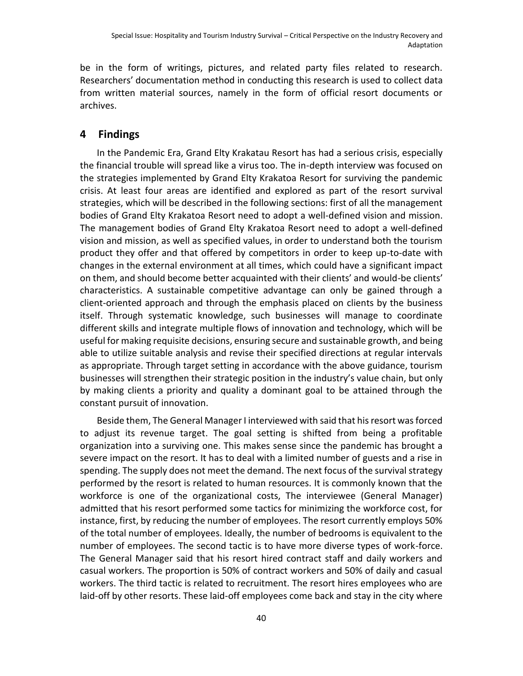be in the form of writings, pictures, and related party files related to research. Researchers' documentation method in conducting this research is used to collect data from written material sources, namely in the form of official resort documents or archives.

## **4 Findings**

In the Pandemic Era, Grand Elty Krakatau Resort has had a serious crisis, especially the financial trouble will spread like a virus too. The in-depth interview was focused on the strategies implemented by Grand Elty Krakatoa Resort for surviving the pandemic crisis. At least four areas are identified and explored as part of the resort survival strategies, which will be described in the following sections: first of all the management bodies of Grand Elty Krakatoa Resort need to adopt a well-defined vision and mission. The management bodies of Grand Elty Krakatoa Resort need to adopt a well-defined vision and mission, as well as specified values, in order to understand both the tourism product they offer and that offered by competitors in order to keep up-to-date with changes in the external environment at all times, which could have a significant impact on them, and should become better acquainted with their clients' and would-be clients' characteristics. A sustainable competitive advantage can only be gained through a client-oriented approach and through the emphasis placed on clients by the business itself. Through systematic knowledge, such businesses will manage to coordinate different skills and integrate multiple flows of innovation and technology, which will be useful for making requisite decisions, ensuring secure and sustainable growth, and being able to utilize suitable analysis and revise their specified directions at regular intervals as appropriate. Through target setting in accordance with the above guidance, tourism businesses will strengthen their strategic position in the industry's value chain, but only by making clients a priority and quality a dominant goal to be attained through the constant pursuit of innovation.

Beside them, The General Manager I interviewed with said that his resort was forced to adjust its revenue target. The goal setting is shifted from being a profitable organization into a surviving one. This makes sense since the pandemic has brought a severe impact on the resort. It has to deal with a limited number of guests and a rise in spending. The supply does not meet the demand. The next focus of the survival strategy performed by the resort is related to human resources. It is commonly known that the workforce is one of the organizational costs, The interviewee (General Manager) admitted that his resort performed some tactics for minimizing the workforce cost, for instance, first, by reducing the number of employees. The resort currently employs 50% of the total number of employees. Ideally, the number of bedrooms is equivalent to the number of employees. The second tactic is to have more diverse types of work-force. The General Manager said that his resort hired contract staff and daily workers and casual workers. The proportion is 50% of contract workers and 50% of daily and casual workers. The third tactic is related to recruitment. The resort hires employees who are laid-off by other resorts. These laid-off employees come back and stay in the city where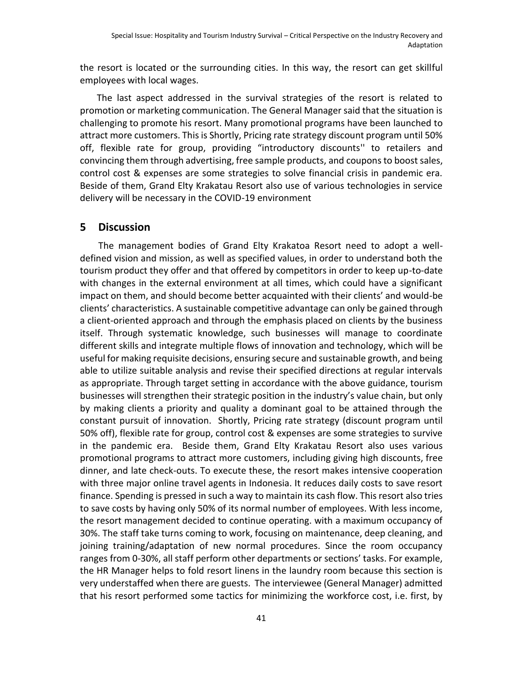the resort is located or the surrounding cities. In this way, the resort can get skillful employees with local wages.

The last aspect addressed in the survival strategies of the resort is related to promotion or marketing communication. The General Manager said that the situation is challenging to promote his resort. Many promotional programs have been launched to attract more customers. This is Shortly, Pricing rate strategy discount program until 50% off, flexible rate for group, providing "introductory discounts'' to retailers and convincing them through advertising, free sample products, and coupons to boost sales, control cost & expenses are some strategies to solve financial crisis in pandemic era. Beside of them, Grand Elty Krakatau Resort also use of various technologies in service delivery will be necessary in the COVID-19 environment

### **5 Discussion**

The management bodies of Grand Elty Krakatoa Resort need to adopt a welldefined vision and mission, as well as specified values, in order to understand both the tourism product they offer and that offered by competitors in order to keep up-to-date with changes in the external environment at all times, which could have a significant impact on them, and should become better acquainted with their clients' and would-be clients' characteristics. A sustainable competitive advantage can only be gained through a client-oriented approach and through the emphasis placed on clients by the business itself. Through systematic knowledge, such businesses will manage to coordinate different skills and integrate multiple flows of innovation and technology, which will be useful for making requisite decisions, ensuring secure and sustainable growth, and being able to utilize suitable analysis and revise their specified directions at regular intervals as appropriate. Through target setting in accordance with the above guidance, tourism businesses will strengthen their strategic position in the industry's value chain, but only by making clients a priority and quality a dominant goal to be attained through the constant pursuit of innovation. Shortly, Pricing rate strategy (discount program until 50% off), flexible rate for group, control cost & expenses are some strategies to survive in the pandemic era. Beside them, Grand Elty Krakatau Resort also uses various promotional programs to attract more customers, including giving high discounts, free dinner, and late check-outs. To execute these, the resort makes intensive cooperation with three major online travel agents in Indonesia. It reduces daily costs to save resort finance. Spending is pressed in such a way to maintain its cash flow. This resort also tries to save costs by having only 50% of its normal number of employees. With less income, the resort management decided to continue operating. with a maximum occupancy of 30%. The staff take turns coming to work, focusing on maintenance, deep cleaning, and joining training/adaptation of new normal procedures. Since the room occupancy ranges from 0-30%, all staff perform other departments or sections' tasks. For example, the HR Manager helps to fold resort linens in the laundry room because this section is very understaffed when there are guests. The interviewee (General Manager) admitted that his resort performed some tactics for minimizing the workforce cost, i.e. first, by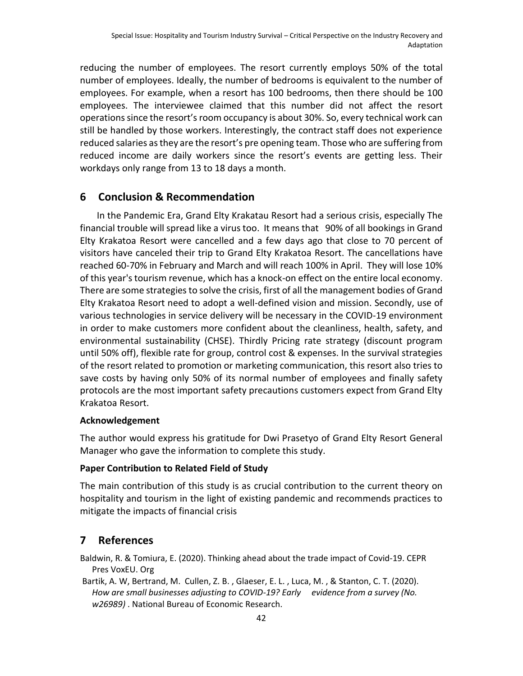reducing the number of employees. The resort currently employs 50% of the total number of employees. Ideally, the number of bedrooms is equivalent to the number of employees. For example, when a resort has 100 bedrooms, then there should be 100 employees. The interviewee claimed that this number did not affect the resort operations since the resort's room occupancy is about 30%. So, every technical work can still be handled by those workers. Interestingly, the contract staff does not experience reduced salaries as they are the resort's pre opening team. Those who are suffering from reduced income are daily workers since the resort's events are getting less. Their workdays only range from 13 to 18 days a month.

## **6 Conclusion & Recommendation**

In the Pandemic Era, Grand Elty Krakatau Resort had a serious crisis, especially The financial trouble will spread like a virus too. It means that 90% of all bookings in Grand Elty Krakatoa Resort were cancelled and a few days ago that close to 70 percent of visitors have canceled their trip to Grand Elty Krakatoa Resort. The cancellations have reached 60-70% in February and March and will reach 100% in April. They will lose 10% of this year's tourism revenue, which has a knock-on effect on the entire local economy. There are some strategies to solve the crisis, first of all the management bodies of Grand Elty Krakatoa Resort need to adopt a well-defined vision and mission. Secondly, use of various technologies in service delivery will be necessary in the COVID-19 environment in order to make customers more confident about the cleanliness, health, safety, and environmental sustainability (CHSE). Thirdly Pricing rate strategy (discount program until 50% off), flexible rate for group, control cost & expenses. In the survival strategies of the resort related to promotion or marketing communication, this resort also tries to save costs by having only 50% of its normal number of employees and finally safety protocols are the most important safety precautions customers expect from Grand Elty Krakatoa Resort.

### **Acknowledgement**

The author would express his gratitude for Dwi Prasetyo of Grand Elty Resort General Manager who gave the information to complete this study.

### **Paper Contribution to Related Field of Study**

The main contribution of this study is as crucial contribution to the current theory on hospitality and tourism in the light of existing pandemic and recommends practices to mitigate the impacts of financial crisis

# **7 References**

Baldwin, R. & Tomiura, E. (2020). Thinking ahead about the trade impact of Covid-19. CEPR Pres VoxEU. Org

Bartik, A. W, Bertrand, M. Cullen, Z. B. , Glaeser, E. L. , Luca, M. , & Stanton, C. T. (2020). *How are small businesses adjusting to COVID-19? Early evidence from a survey (No. w26989)* . National Bureau of Economic Research.